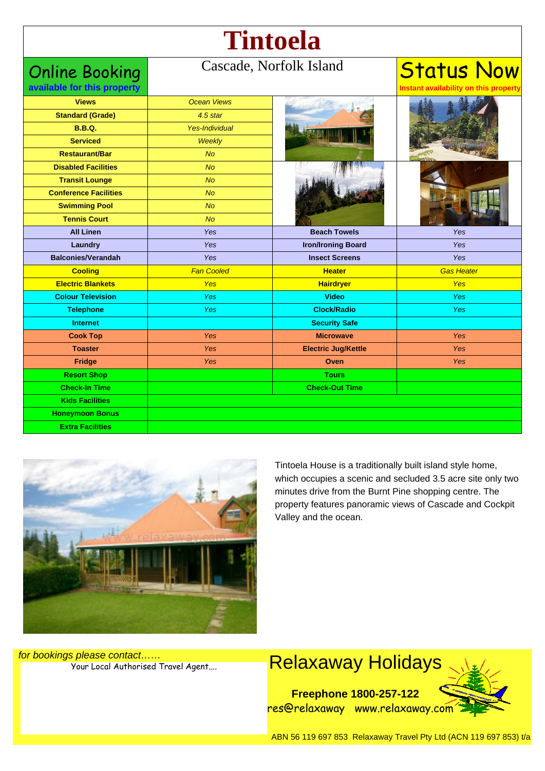# **Tintoela**

### Online Booking

#### Cascade, Norfolk Island

## Status Now

**Instant availability on this property**

**available for this property**

| <b>Views</b>                 | <b>Ocean Views</b> |                            |                   |
|------------------------------|--------------------|----------------------------|-------------------|
| <b>Standard (Grade)</b>      | $4.5$ star         |                            |                   |
| <b>B.B.Q.</b>                | Yes-Individual     |                            |                   |
| <b>Serviced</b>              | Weekly             |                            |                   |
| <b>Restaurant/Bar</b>        | <b>No</b>          |                            |                   |
| <b>Disabled Facilities</b>   | No                 |                            |                   |
| <b>Transit Lounge</b>        | <b>No</b>          |                            |                   |
| <b>Conference Facilities</b> | <b>No</b>          |                            |                   |
| <b>Swimming Pool</b>         | <b>No</b>          |                            |                   |
| <b>Tennis Court</b>          | <b>No</b>          |                            |                   |
| <b>All Linen</b>             | Yes                | <b>Beach Towels</b>        | Yes               |
| Laundry                      | Yes                | <b>Iron/Ironing Board</b>  | <b>Yes</b>        |
| <b>Balconies/Verandah</b>    | Yes                | <b>Insect Screens</b>      | Yes               |
| <b>Cooling</b>               | <b>Fan Cooled</b>  | <b>Heater</b>              | <b>Gas Heater</b> |
| <b>Electric Blankets</b>     | <b>Yes</b>         | <b>Hairdryer</b>           | <b>Yes</b>        |
| <b>Colour Television</b>     | <b>Yes</b>         | <b>Video</b>               | <b>Yes</b>        |
| <b>Telephone</b>             | <b>Yes</b>         | <b>Clock/Radio</b>         | <b>Yes</b>        |
| <b>Internet</b>              |                    | <b>Security Safe</b>       |                   |
| <b>Cook Top</b>              | Yes                | <b>Microwave</b>           | <b>Yes</b>        |
| <b>Toaster</b>               | <b>Yes</b>         | <b>Electric Jug/Kettle</b> | Yes               |
| Fridge                       | <b>Yes</b>         | Oven                       | <b>Yes</b>        |
| <b>Resort Shop</b>           |                    | <b>Tours</b>               |                   |
| <b>Check-In Time</b>         |                    | <b>Check-Out Time</b>      |                   |
|                              |                    |                            |                   |
| <b>Kids Facilities</b>       |                    |                            |                   |
| <b>Honeymoon Bonus</b>       |                    |                            |                   |



Tintoela House is a traditionally built island style home, which occupies a scenic and secluded 3.5 acre site only two minutes drive from the Burnt Pine shopping centre. The property features panoramic views of Cascade and Cockpit Valley and the ocean.

for bookings please contact……